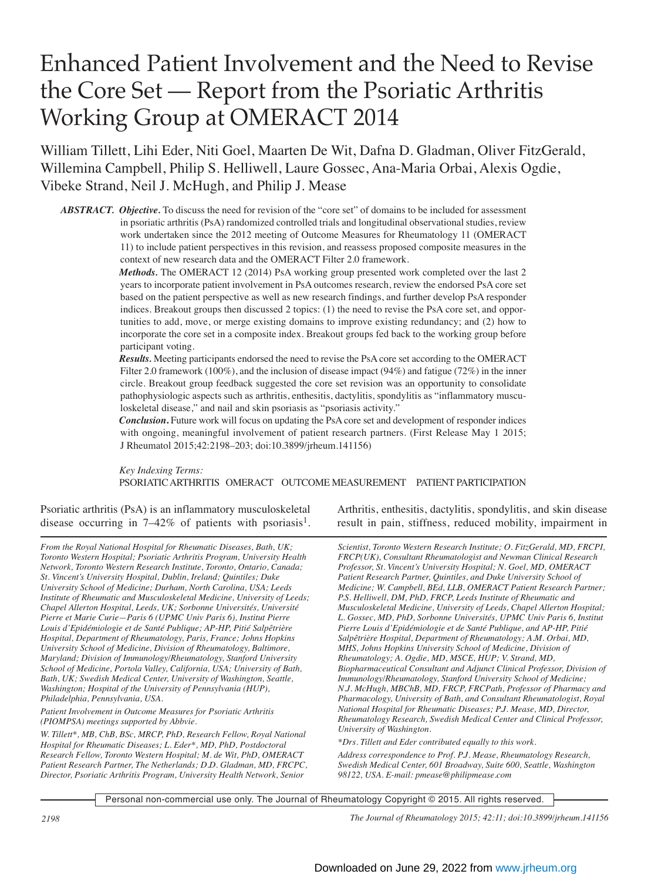# Enhanced Patient Involvement and the Need to Revise the Core Set — Report from the Psoriatic Arthritis Working Group at OMERACT 2014

William Tillett, Lihi Eder, Niti Goel, Maarten De Wit, Dafna D. Gladman, Oliver FitzGerald, Willemina Campbell, Philip S. Helliwell, Laure Gossec, Ana-Maria Orbai, Alexis Ogdie, Vibeke Strand, Neil J. McHugh, and Philip J. Mease

*ABSTRACT. Objective.* To discuss the need for revision of the "core set" of domains to be included for assessment in psoriatic arthritis (PsA) randomized controlled trials and longitudinal observational studies, review work undertaken since the 2012 meeting of Outcome Measures for Rheumatology 11 (OMERACT 11) to include patient perspectives in this revision, and reassess proposed composite measures in the context of new research data and the OMERACT Filter 2.0 framework.

> *Methods.* The OMERACT 12 (2014) PsA working group presented work completed over the last 2 years to incorporate patient involvement in PsA outcomes research, review the endorsed PsA core set based on the patient perspective as well as new research findings, and further develop PsA responder indices. Breakout groups then discussed 2 topics: (1) the need to revise the PsA core set, and opportunities to add, move, or merge existing domains to improve existing redundancy; and (2) how to incorporate the core set in a composite index. Breakout groups fed back to the working group before participant voting.

> *Results.* Meeting participants endorsed the need to revise the PsA core set according to the OMERACT Filter 2.0 framework (100%), and the inclusion of disease impact (94%) and fatigue (72%) in the inner circle. Breakout group feedback suggested the core set revision was an opportunity to consolidate pathophysiologic aspects such as arthritis, enthesitis, dactylitis, spondylitis as "inflammatory musculoskeletal disease," and nail and skin psoriasis as "psoriasis activity."

> *Conclusion*. Future work will focus on updating the PsA core set and development of responder indices with ongoing, meaningful involvement of patient research partners. (First Release May 1 2015; J Rheumatol 2015;42:2198–203; doi:10.3899/jrheum.141156)

> *Key Indexing Terms:*  PSORIATIC ARTHRITIS OMERACT OUTCOME MEASUREMENT PATIENT PARTICIPATION

Psoriatic arthritis (PsA) is an inflammatory musculoskeletal disease occurring in  $7-42\%$  of patients with psoriasis<sup>1</sup>.

*From the Royal National Hospital for Rheumatic Diseases, Bath, UK; Toronto Western Hospital; Psoriatic Arthritis Program, University Health Network, Toronto Western Research Institute, Toronto, Ontario, Canada; St. Vincent's University Hospital, Dublin, Ireland; Quintiles; Duke University School of Medicine; Durham, North Carolina, USA; Leeds Institute of Rheumatic and Musculoskeletal Medicine, University of Leeds; Chapel Allerton Hospital, Leeds, UK; Sorbonne Universités, Université Pierre et Marie Curie—Paris 6 (UPMC Univ Paris 6), Institut Pierre Louis d'Epidémiologie et de Santé Publique; AP-HP, Pitié Salpêtrière Hospital, Department of Rheumatology, Paris, France; Johns Hopkins University School of Medicine, Division of Rheumatology, Baltimore, Maryland; Division of Immunology/Rheumatology, Stanford University School of Medicine, Portola Valley, California, USA; University of Bath, Bath, UK; Swedish Medical Center, University of Washington, Seattle, Washington; Hospital of the University of Pennsylvania (HUP), Philadelphia, Pennsylvania, USA.* 

*Patient Involvement in Outcome Measures for Psoriatic Arthritis (PIOMPSA) meetings supported by Abbvie.*

*W. Tillett\*, MB, ChB, BSc, MRCP, PhD, Research Fellow, Royal National Hospital for Rheumatic Diseases; L. Eder\*, MD, PhD, Postdoctoral Research Fellow, Toronto Western Hospital; M. de Wit, PhD, OMERACT Patient Research Partner, The Netherlands; D.D. Gladman, MD, FRCPC, Director, Psoriatic Arthritis Program, University Health Network, Senior*

Arthritis, enthesitis, dactylitis, spondylitis, and skin disease result in pain, stiffness, reduced mobility, impairment in

*Scientist, Toronto Western Research Institute; O. FitzGerald, MD, FRCPI, FRCP(UK), Consultant Rheumatologist and Newman Clinical Research Professor, St. Vincent's University Hospital; N. Goel, MD, OMERACT Patient Research Partner, Quintiles, and Duke University School of Medicine; W. Campbell, BEd, LLB, OMERACT Patient Research Partner; P.S. Helliwell, DM, PhD, FRCP, Leeds Institute of Rheumatic and Musculoskeletal Medicine, University of Leeds, Chapel Allerton Hospital; L. Gossec, MD, PhD, Sorbonne Universités, UPMC Univ Paris 6, Institut Pierre Louis d'Epidémiologie et de Santé Publique, and AP-HP, Pitié Salpêtrière Hospital, Department of Rheumatology; A.M. Orbai, MD, MHS, Johns Hopkins University School of Medicine, Division of Rheumatology; A. Ogdie, MD, MSCE, HUP; V. Strand, MD, Biopharmaceutical Consultant and Adjunct Clinical Professor, Division of Immunology/Rheumatology, Stanford University School of Medicine; N.J. McHugh, MBChB, MD, FRCP, FRCPath, Professor of Pharmacy and Pharmacology, University of Bath, and Consultant Rheumatologist, Royal National Hospital for Rheumatic Diseases; P.J. Mease, MD, Director, Rheumatology Research, Swedish Medical Center and Clinical Professor, University of Washington.* 

*\*Drs. Tillett and Eder contributed equally to this work. Address correspondence to Prof. P.J. Mease, Rheumatology Research, Swedish Medical Center, 601 Broadway, Suite 600, Seattle, Washington 98122, USA. E-mail: pmease@philipmease.com*

Personal non-commercial use only. The Journal of Rheumatology Copyright © 2015. All rights reserved.

*2198 The Journal of Rheumatology 2015; 42:11; doi:10.3899/jrheum.141156*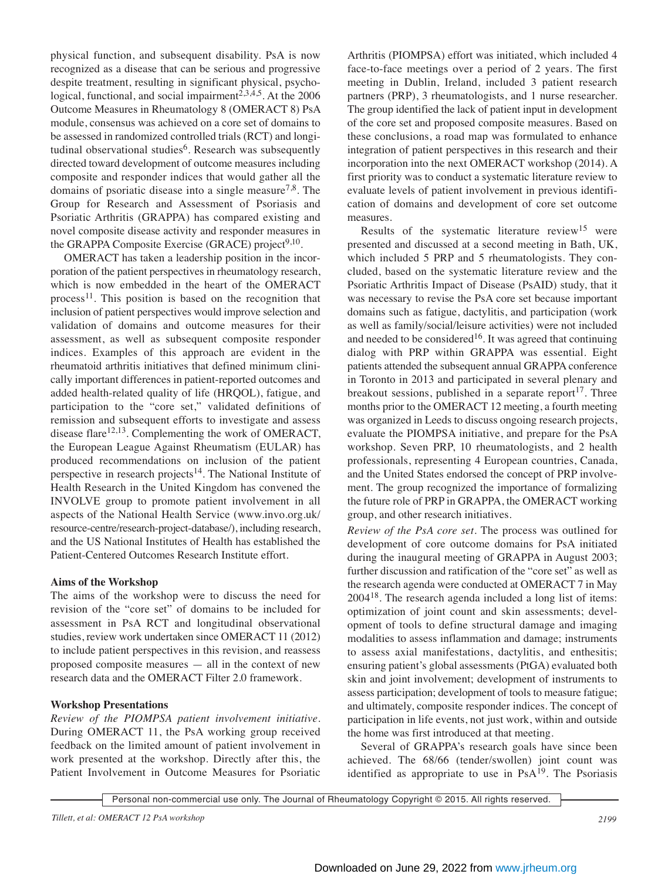physical function, and subsequent disability. PsA is now recognized as a disease that can be serious and progressive despite treatment, resulting in significant physical, psychological, functional, and social impairment<sup>2,3,4,5</sup>. At the 2006 Outcome Measures in Rheumatology 8 (OMERACT 8) PsA module, consensus was achieved on a core set of domains to be assessed in randomized controlled trials (RCT) and longitudinal observational studies<sup>6</sup>. Research was subsequently directed toward development of outcome measures including composite and responder indices that would gather all the domains of psoriatic disease into a single measure<sup>7,8</sup>. The Group for Research and Assessment of Psoriasis and Psoriatic Arthritis (GRAPPA) has compared existing and novel composite disease activity and responder measures in the GRAPPA Composite Exercise (GRACE) project<sup>9,10</sup>.

OMERACT has taken a leadership position in the incorporation of the patient perspectives in rheumatology research, which is now embedded in the heart of the OMERACT process<sup>11</sup>. This position is based on the recognition that inclusion of patient perspectives would improve selection and validation of domains and outcome measures for their assessment, as well as subsequent composite responder indices. Examples of this approach are evident in the rheumatoid arthritis initiatives that defined minimum clinically important differences in patient-reported outcomes and added health-related quality of life (HRQOL), fatigue, and participation to the "core set," validated definitions of remission and subsequent efforts to investigate and assess disease flare<sup>12,13</sup>. Complementing the work of OMERACT, the European League Against Rheumatism (EULAR) has produced recommendations on inclusion of the patient perspective in research projects<sup>14</sup>. The National Institute of Health Research in the United Kingdom has convened the INVOLVE group to promote patient involvement in all aspects of the National Health Service (www.invo.org.uk/ resource-centre/research-project-database/), including research, and the US National Institutes of Health has established the Patient-Centered Outcomes Research Institute effort.

## **Aims of the Workshop**

The aims of the workshop were to discuss the need for revision of the "core set" of domains to be included for assessment in PsA RCT and longitudinal observational studies, review work undertaken since OMERACT 11 (2012) to include patient perspectives in this revision, and reassess proposed composite measures — all in the context of new research data and the OMERACT Filter 2.0 framework.

## **Workshop Presentations**

*Review of the PIOMPSA patient involvement initiative.* During OMERACT 11, the PsA working group received feedback on the limited amount of patient involvement in work presented at the workshop. Directly after this, the Patient Involvement in Outcome Measures for Psoriatic Arthritis (PIOMPSA) effort was initiated, which included 4 face-to-face meetings over a period of 2 years. The first meeting in Dublin, Ireland, included 3 patient research partners (PRP), 3 rheumatologists, and 1 nurse researcher. The group identified the lack of patient input in development of the core set and proposed composite measures. Based on these conclusions, a road map was formulated to enhance integration of patient perspectives in this research and their incorporation into the next OMERACT workshop (2014). A first priority was to conduct a systematic literature review to evaluate levels of patient involvement in previous identification of domains and development of core set outcome measures.

Results of the systematic literature review<sup>15</sup> were presented and discussed at a second meeting in Bath, UK, which included 5 PRP and 5 rheumatologists. They concluded, based on the systematic literature review and the Psoriatic Arthritis Impact of Disease (PsAID) study, that it was necessary to revise the PsA core set because important domains such as fatigue, dactylitis, and participation (work as well as family/social/leisure activities) were not included and needed to be considered<sup>16</sup>. It was agreed that continuing dialog with PRP within GRAPPA was essential. Eight patients attended the subsequent annual GRAPPA conference in Toronto in 2013 and participated in several plenary and breakout sessions, published in a separate report<sup>17</sup>. Three months prior to the OMERACT 12 meeting, a fourth meeting was organized in Leeds to discuss ongoing research projects, evaluate the PIOMPSA initiative, and prepare for the PsA workshop. Seven PRP, 10 rheumatologists, and 2 health professionals, representing 4 European countries, Canada, and the United States endorsed the concept of PRP involvement. The group recognized the importance of formalizing the future role of PRP in GRAPPA, the OMERACT working group, and other research initiatives.

*Review of the PsA core set.* The process was outlined for development of core outcome domains for PsA initiated during the inaugural meeting of GRAPPA in August 2003; further discussion and ratification of the "core set" as well as the research agenda were conducted at OMERACT 7 in May 200418. The research agenda included a long list of items: optimization of joint count and skin assessments; development of tools to define structural damage and imaging modalities to assess inflammation and damage; instruments to assess axial manifestations, dactylitis, and enthesitis; ensuring patient's global assessments (PtGA) evaluated both skin and joint involvement; development of instruments to assess participation; development of tools to measure fatigue; and ultimately, composite responder indices. The concept of participation in life events, not just work, within and outside the home was first introduced at that meeting.

Several of GRAPPA's research goals have since been achieved. The 68/66 (tender/swollen) joint count was identified as appropriate to use in  $PsA<sup>19</sup>$ . The Psoriasis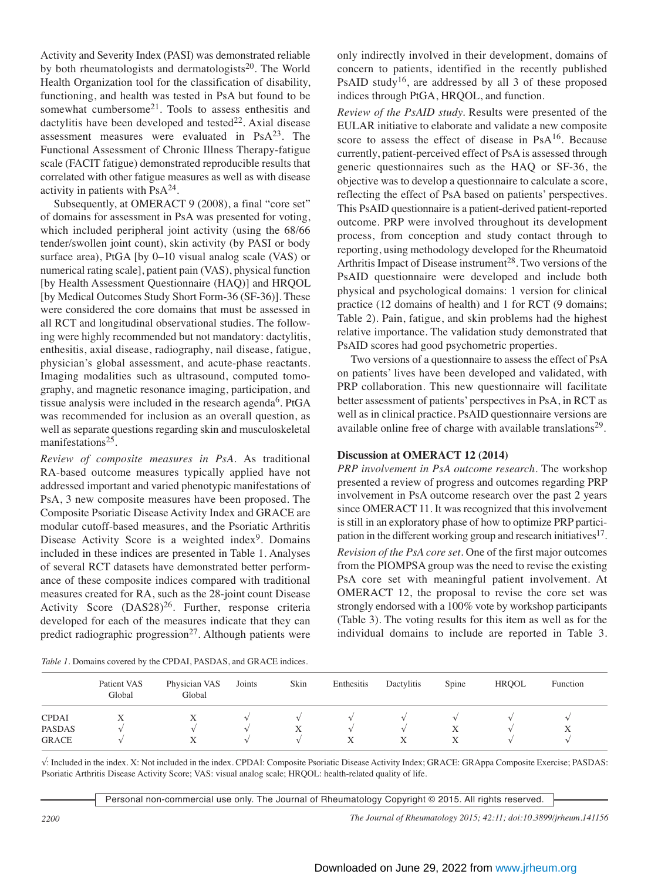Activity and Severity Index (PASI) was demonstrated reliable by both rheumatologists and dermatologists $^{20}$ . The World Health Organization tool for the classification of disability, functioning, and health was tested in PsA but found to be somewhat cumbersome<sup>21</sup>. Tools to assess enthesitis and dactylitis have been developed and tested $^{22}$ . Axial disease assessment measures were evaluated in  $PsA^{23}$ . The Functional Assessment of Chronic Illness Therapy-fatigue scale (FACIT fatigue) demonstrated reproducible results that correlated with other fatigue measures as well as with disease activity in patients with  $PsA^{24}$ .

Subsequently, at OMERACT 9 (2008), a final "core set" of domains for assessment in PsA was presented for voting, which included peripheral joint activity (using the 68/66 tender/swollen joint count), skin activity (by PASI or body surface area), PtGA [by 0–10 visual analog scale (VAS) or numerical rating scale], patient pain (VAS), physical function [by Health Assessment Questionnaire (HAQ)] and HRQOL [by Medical Outcomes Study Short Form-36 (SF-36)]. These were considered the core domains that must be assessed in all RCT and longitudinal observational studies. The following were highly recommended but not mandatory: dactylitis, enthesitis, axial disease, radiography, nail disease, fatigue, physician's global assessment, and acute-phase reactants. Imaging modalities such as ultrasound, computed tomography, and magnetic resonance imaging, participation, and tissue analysis were included in the research agenda<sup>6</sup>. PtGA was recommended for inclusion as an overall question, as well as separate questions regarding skin and musculoskeletal manifestations<sup>25</sup>.

*Review of composite measures in PsA.* As traditional RA-based outcome measures typically applied have not addressed important and varied phenotypic manifestations of PsA, 3 new composite measures have been proposed. The Composite Psoriatic Disease Activity Index and GRACE are modular cutoff-based measures, and the Psoriatic Arthritis Disease Activity Score is a weighted index<sup>9</sup>. Domains included in these indices are presented in Table 1. Analyses of several RCT datasets have demonstrated better performance of these composite indices compared with traditional measures created for RA, such as the 28-joint count Disease Activity Score  $(DAS28)^{26}$ . Further, response criteria developed for each of the measures indicate that they can predict radiographic progression<sup>27</sup>. Although patients were

only indirectly involved in their development, domains of concern to patients, identified in the recently published PsAID study<sup>16</sup>, are addressed by all 3 of these proposed indices through PtGA, HRQOL, and function.

*Review of the PsAID study.* Results were presented of the EULAR initiative to elaborate and validate a new composite score to assess the effect of disease in PsA<sup>16</sup>. Because currently, patient-perceived effect of PsA is assessed through generic questionnaires such as the HAQ or SF-36, the objective was to develop a questionnaire to calculate a score, reflecting the effect of PsA based on patients' perspectives. This PsAID questionnaire is a patient-derived patient-reported outcome. PRP were involved throughout its development process, from conception and study contact through to reporting, using methodology developed for the Rheumatoid Arthritis Impact of Disease instrument<sup>28</sup>. Two versions of the PsAID questionnaire were developed and include both physical and psychological domains: 1 version for clinical practice (12 domains of health) and 1 for RCT (9 domains; Table 2). Pain, fatigue, and skin problems had the highest relative importance. The validation study demonstrated that PsAID scores had good psychometric properties.

Two versions of a questionnaire to assess the effect of PsA on patients' lives have been developed and validated, with PRP collaboration. This new questionnaire will facilitate better assessment of patients' perspectives in PsA, in RCT as well as in clinical practice. PsAID questionnaire versions are available online free of charge with available translations<sup>29</sup>.

### **Discussion at OMERACT 12 (2014)**

*PRP involvement in PsA outcome research.* The workshop presented a review of progress and outcomes regarding PRP involvement in PsA outcome research over the past 2 years since OMERACT 11. It was recognized that this involvement is still in an exploratory phase of how to optimize PRP participation in the different working group and research initiatives $17$ . *Revision of the PsA core set.* One of the first major outcomes from the PIOMPSA group was the need to revise the existing PsA core set with meaningful patient involvement. At OMERACT 12, the proposal to revise the core set was strongly endorsed with a 100% vote by workshop participants (Table 3). The voting results for this item as well as for the individual domains to include are reported in Table 3.

| <i>Table 1.</i> Domains covered by the CPDAI, PASDAS, and GRACE indices. |  |  |  |
|--------------------------------------------------------------------------|--|--|--|
|                                                                          |  |  |  |

|                                               | Patient VAS<br>Global | Physician VAS<br>Global | Joints | Skin | Enthesitis                          | Dactylitis | Spine  | <b>HROOL</b> | Function |
|-----------------------------------------------|-----------------------|-------------------------|--------|------|-------------------------------------|------------|--------|--------------|----------|
| <b>CPDAI</b><br><b>PASDAS</b><br><b>GRACE</b> | Х                     | Х<br>v<br>△             |        |      | $\mathcal{L}$<br>$\mathcal{L}$<br>Х | Х          | Х<br>Χ |              |          |

√: Included in the index. X: Not included in the index. CPDAI: Composite Psoriatic Disease Activity Index; GRACE: GRAppa Composite Exercise; PASDAS: Psoriatic Arthritis Disease Activity Score; VAS: visual analog scale; HRQOL: health-related quality of life.

Personal non-commercial use only. The Journal of Rheumatology Copyright © 2015. All rights reserved.

*2200 The Journal of Rheumatology 2015; 42:11; doi:10.3899/jrheum.141156*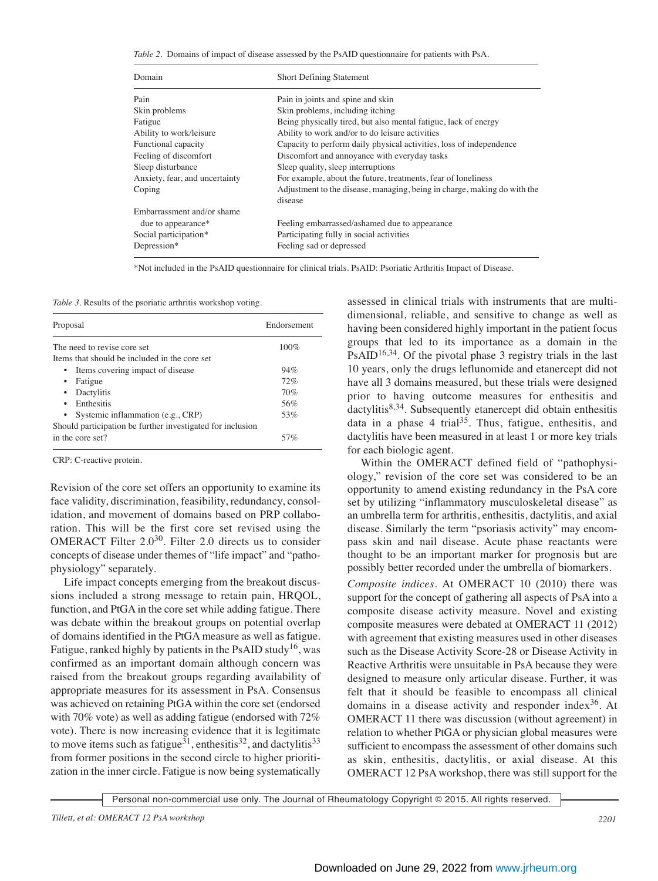*Table 2.* Domains of impact of disease assessed by the PsAID questionnaire for patients with PsA.

| Domain                         | <b>Short Defining Statement</b>                                                     |  |
|--------------------------------|-------------------------------------------------------------------------------------|--|
| Pain                           | Pain in joints and spine and skin                                                   |  |
| Skin problems                  | Skin problems, including itching                                                    |  |
| Fatigue                        | Being physically tired, but also mental fatigue, lack of energy                     |  |
| Ability to work/leisure        | Ability to work and/or to do leisure activities                                     |  |
| Functional capacity            | Capacity to perform daily physical activities, loss of independence                 |  |
| Feeling of discomfort          | Discomfort and annoyance with everyday tasks                                        |  |
| Sleep disturbance              | Sleep quality, sleep interruptions                                                  |  |
| Anxiety, fear, and uncertainty | For example, about the future, treatments, fear of loneliness                       |  |
| Coping                         | Adjustment to the disease, managing, being in charge, making do with the<br>disease |  |
| Embarrassment and/or shame     |                                                                                     |  |
| due to appearance*             | Feeling embarrassed/ashamed due to appearance                                       |  |
| Social participation*          | Participating fully in social activities                                            |  |
| Depression*                    | Feeling sad or depressed                                                            |  |

\*Not included in the PsAID questionnaire for clinical trials. PsAID: Psoriatic Arthritis Impact of Disease.

*Table 3.* Results of the psoriatic arthritis workshop voting.

| Proposal                                                   | Endorsement |
|------------------------------------------------------------|-------------|
| The need to revise core set                                | $100\%$     |
| Items that should be included in the core set              |             |
| Items covering impact of disease<br>$\bullet$              | 94%         |
| Fatigue                                                    | 72%         |
| Dactylitis                                                 | 70%         |
| Enthesitis<br>٠                                            | 56%         |
| Systemic inflammation (e.g., CRP)                          | 53%         |
| Should participation be further investigated for inclusion |             |
| in the core set?                                           | 57%         |

CRP: C-reactive protein.

Revision of the core set offers an opportunity to examine its face validity, discrimination, feasibility, redundancy, consolidation, and movement of domains based on PRP collaboration. This will be the first core set revised using the OMERACT Filter  $2.0^{30}$ . Filter 2.0 directs us to consider concepts of disease under themes of "life impact" and "pathophysiology" separately.

Life impact concepts emerging from the breakout discussions included a strong message to retain pain, HRQOL, function, and PtGA in the core set while adding fatigue. There was debate within the breakout groups on potential overlap of domains identified in the PtGA measure as well as fatigue. Fatigue, ranked highly by patients in the PsAID study<sup>16</sup>, was confirmed as an important domain although concern was raised from the breakout groups regarding availability of appropriate measures for its assessment in PsA. Consensus was achieved on retaining PtGA within the core set (endorsed with 70% vote) as well as adding fatigue (endorsed with 72% vote). There is now increasing evidence that it is legitimate to move items such as fatigue<sup>31</sup>, enthesitis<sup>32</sup>, and dactylitis<sup>33</sup> from former positions in the second circle to higher prioritization in the inner circle. Fatigue is now being systematically

assessed in clinical trials with instruments that are multidimensional, reliable, and sensitive to change as well as having been considered highly important in the patient focus groups that led to its importance as a domain in the  $PsAID^{16,34}$ . Of the pivotal phase 3 registry trials in the last 10 years, only the drugs leflunomide and etanercept did not have all 3 domains measured, but these trials were designed prior to having outcome measures for enthesitis and dactylitis<sup>8,34</sup>. Subsequently etanercept did obtain enthesitis data in a phase  $4 \text{ trial}^{35}$ . Thus, fatigue, enthesitis, and dactylitis have been measured in at least 1 or more key trials for each biologic agent.

Within the OMERACT defined field of "pathophysiology," revision of the core set was considered to be an opportunity to amend existing redundancy in the PsA core set by utilizing "inflammatory musculoskeletal disease" as an umbrella term for arthritis, enthesitis, dactylitis, and axial disease. Similarly the term "psoriasis activity" may encompass skin and nail disease. Acute phase reactants were thought to be an important marker for prognosis but are possibly better recorded under the umbrella of biomarkers.

*Composite indices.* At OMERACT 10 (2010) there was support for the concept of gathering all aspects of PsA into a composite disease activity measure. Novel and existing composite measures were debated at OMERACT 11 (2012) with agreement that existing measures used in other diseases such as the Disease Activity Score-28 or Disease Activity in Reactive Arthritis were unsuitable in PsA because they were designed to measure only articular disease. Further, it was felt that it should be feasible to encompass all clinical domains in a disease activity and responder index<sup>36</sup>. At OMERACT 11 there was discussion (without agreement) in relation to whether PtGA or physician global measures were sufficient to encompass the assessment of other domains such as skin, enthesitis, dactylitis, or axial disease. At this OMERACT 12 PsA workshop, there was still support for the

Personal non-commercial use only. The Journal of Rheumatology Copyright © 2015. All rights reserved.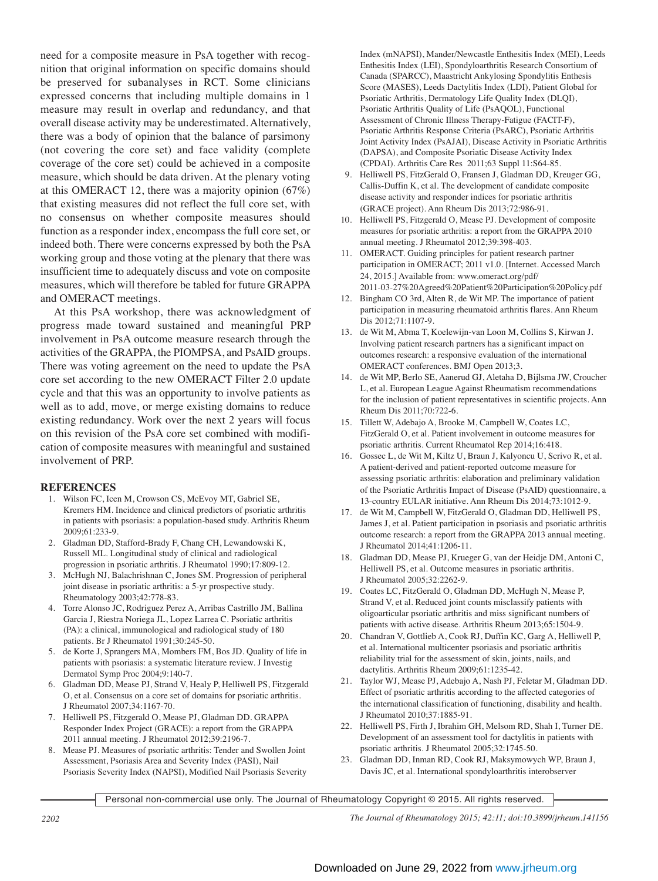need for a composite measure in PsA together with recognition that original information on specific domains should be preserved for subanalyses in RCT. Some clinicians expressed concerns that including multiple domains in 1 measure may result in overlap and redundancy, and that overall disease activity may be underestimated. Alternatively, there was a body of opinion that the balance of parsimony (not covering the core set) and face validity (complete coverage of the core set) could be achieved in a composite measure, which should be data driven. At the plenary voting at this OMERACT 12, there was a majority opinion (67%) that existing measures did not reflect the full core set, with no consensus on whether composite measures should function as a responder index, encompass the full core set, or indeed both. There were concerns expressed by both the PsA working group and those voting at the plenary that there was insufficient time to adequately discuss and vote on composite measures, which will therefore be tabled for future GRAPPA and OMERACT meetings.

At this PsA workshop, there was acknowledgment of progress made toward sustained and meaningful PRP involvement in PsA outcome measure research through the activities of the GRAPPA, the PIOMPSA, and PsAID groups. There was voting agreement on the need to update the PsA core set according to the new OMERACT Filter 2.0 update cycle and that this was an opportunity to involve patients as well as to add, move, or merge existing domains to reduce existing redundancy. Work over the next 2 years will focus on this revision of the PsA core set combined with modification of composite measures with meaningful and sustained involvement of PRP.

### **REFERENCES**

- 1. Wilson FC, Icen M, Crowson CS, McEvoy MT, Gabriel SE, Kremers HM. Incidence and clinical predictors of psoriatic arthritis in patients with psoriasis: a population-based study. Arthritis Rheum 2009;61:233-9.
- 2. Gladman DD, Stafford-Brady F, Chang CH, Lewandowski K, Russell ML. Longitudinal study of clinical and radiological progression in psoriatic arthritis. J Rheumatol 1990;17:809-12.
- 3. McHugh NJ, Balachrishnan C, Jones SM. Progression of peripheral joint disease in psoriatic arthritis: a 5-yr prospective study. Rheumatology 2003;42:778-83.
- 4. Torre Alonso JC, Rodriguez Perez A, Arribas Castrillo JM, Ballina Garcia J, Riestra Noriega JL, Lopez Larrea C. Psoriatic arthritis (PA): a clinical, immunological and radiological study of 180 patients. Br J Rheumatol 1991;30:245-50.
- 5. de Korte J, Sprangers MA, Mombers FM, Bos JD. Quality of life in patients with psoriasis: a systematic literature review. J Investig Dermatol Symp Proc 2004;9:140-7.
- 6. Gladman DD, Mease PJ, Strand V, Healy P, Helliwell PS, Fitzgerald O, et al. Consensus on a core set of domains for psoriatic arthritis. J Rheumatol 2007;34:1167-70.
- 7. Helliwell PS, Fitzgerald O, Mease PJ, Gladman DD. GRAPPA Responder Index Project (GRACE): a report from the GRAPPA 2011 annual meeting. J Rheumatol 2012;39:2196-7.
- 8. Mease PJ. Measures of psoriatic arthritis: Tender and Swollen Joint Assessment, Psoriasis Area and Severity Index (PASI), Nail Psoriasis Severity Index (NAPSI), Modified Nail Psoriasis Severity

Index (mNAPSI), Mander/Newcastle Enthesitis Index (MEI), Leeds Enthesitis Index (LEI), Spondyloarthritis Research Consortium of Canada (SPARCC), Maastricht Ankylosing Spondylitis Enthesis Score (MASES), Leeds Dactylitis Index (LDI), Patient Global for Psoriatic Arthritis, Dermatology Life Quality Index (DLQI), Psoriatic Arthritis Quality of Life (PsAQOL), Functional Assessment of Chronic Illness Therapy-Fatigue (FACIT-F), Psoriatic Arthritis Response Criteria (PsARC), Psoriatic Arthritis Joint Activity Index (PsAJAI), Disease Activity in Psoriatic Arthritis (DAPSA), and Composite Psoriatic Disease Activity Index (CPDAI). Arthritis Care Res 2011;63 Suppl 11:S64-85.

- 9. Helliwell PS, FitzGerald O, Fransen J, Gladman DD, Kreuger GG, Callis-Duffin K, et al. The development of candidate composite disease activity and responder indices for psoriatic arthritis (GRACE project). Ann Rheum Dis 2013;72:986-91.
- 10. Helliwell PS, Fitzgerald O, Mease PJ. Development of composite measures for psoriatic arthritis: a report from the GRAPPA 2010 annual meeting. J Rheumatol 2012;39:398-403.
- 11. OMERACT. Guiding principles for patient research partner participation in OMERACT; 2011 v1.0. [Internet. Accessed March 24, 2015.] Available from: www.omeract.org/pdf/ 2011-03-27%20Agreed%20Patient%20Participation%20Policy.pdf
- 12. Bingham CO 3rd, Alten R, de Wit MP. The importance of patient participation in measuring rheumatoid arthritis flares. Ann Rheum Dis 2012;71:1107-9.
- 13. de Wit M, Abma T, Koelewijn-van Loon M, Collins S, Kirwan J. Involving patient research partners has a significant impact on outcomes research: a responsive evaluation of the international OMERACT conferences. BMJ Open 2013;3.
- 14. de Wit MP, Berlo SE, Aanerud GJ, Aletaha D, Bijlsma JW, Croucher L, et al. European League Against Rheumatism recommendations for the inclusion of patient representatives in scientific projects. Ann Rheum Dis 2011;70:722-6.
- 15. Tillett W, Adebajo A, Brooke M, Campbell W, Coates LC, FitzGerald O, et al. Patient involvement in outcome measures for psoriatic arthritis. Current Rheumatol Rep 2014;16:418.
- 16. Gossec L, de Wit M, Kiltz U, Braun J, Kalyoncu U, Scrivo R, et al. A patient-derived and patient-reported outcome measure for assessing psoriatic arthritis: elaboration and preliminary validation of the Psoriatic Arthritis Impact of Disease (PsAID) questionnaire, a 13-country EULAR initiative. Ann Rheum Dis 2014;73:1012-9.
- 17. de Wit M, Campbell W, FitzGerald O, Gladman DD, Helliwell PS, James J, et al. Patient participation in psoriasis and psoriatic arthritis outcome research: a report from the GRAPPA 2013 annual meeting. J Rheumatol 2014;41:1206-11.
- 18. Gladman DD, Mease PJ, Krueger G, van der Heidje DM, Antoni C, Helliwell PS, et al. Outcome measures in psoriatic arthritis. J Rheumatol 2005;32:2262-9.
- 19. Coates LC, FitzGerald O, Gladman DD, McHugh N, Mease P, Strand V, et al. Reduced joint counts misclassify patients with oligoarticular psoriatic arthritis and miss significant numbers of patients with active disease. Arthritis Rheum 2013;65:1504-9.
- 20. Chandran V, Gottlieb A, Cook RJ, Duffin KC, Garg A, Helliwell P, et al. International multicenter psoriasis and psoriatic arthritis reliability trial for the assessment of skin, joints, nails, and dactylitis. Arthritis Rheum 2009;61:1235-42.
- 21. Taylor WJ, Mease PJ, Adebajo A, Nash PJ, Feletar M, Gladman DD. Effect of psoriatic arthritis according to the affected categories of the international classification of functioning, disability and health. J Rheumatol 2010;37:1885-91.
- 22. Helliwell PS, Firth J, Ibrahim GH, Melsom RD, Shah I, Turner DE. Development of an assessment tool for dactylitis in patients with psoriatic arthritis. J Rheumatol 2005;32:1745-50.
- 23. Gladman DD, Inman RD, Cook RJ, Maksymowych WP, Braun J, Davis JC, et al. International spondyloarthritis interobserver

Personal non-commercial use only. The Journal of Rheumatology Copyright © 2015. All rights reserved.

*2202 The Journal of Rheumatology 2015; 42:11; doi:10.3899/jrheum.141156*